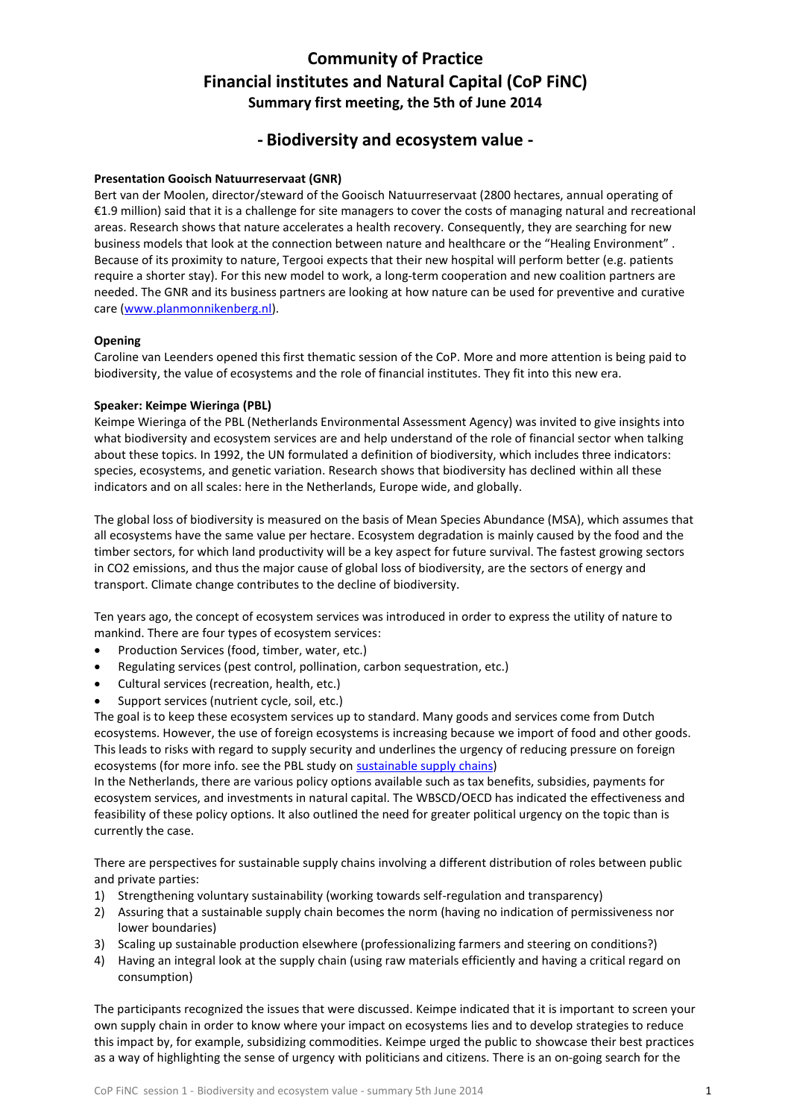# **Community of Practice Financial institutes and Natural Capital (CoP FiNC) Summary first meeting, the 5th of June 2014**

# **- Biodiversity and ecosystem value -**

# **Presentation Gooisch Natuurreservaat (GNR)**

Bert van der Moolen, director/steward of the Gooisch Natuurreservaat (2800 hectares, annual operating of €1.9 million) said that it is a challenge for site managers to cover the costs of managing natural and recreational areas. Research shows that nature accelerates a health recovery. Consequently, they are searching for new business models that look at the connection between nature and healthcare or the "Healing Environment" . Because of its proximity to nature, Tergooi expects that their new hospital will perform better (e.g. patients require a shorter stay). For this new model to work, a long-term cooperation and new coalition partners are needed. The GNR and its business partners are looking at how nature can be used for preventive and curative care [\(www.planmonnikenberg.nl\)](http://www.planmonnikenberg.nl/).

# **Opening**

Caroline van Leenders opened this first thematic session of the CoP. More and more attention is being paid to biodiversity, the value of ecosystems and the role of financial institutes. They fit into this new era.

# **Speaker: Keimpe Wieringa (PBL)**

Keimpe Wieringa of the PBL (Netherlands Environmental Assessment Agency) was invited to give insights into what biodiversity and ecosystem services are and help understand of the role of financial sector when talking about these topics. In 1992, the UN formulated a definition of biodiversity, which includes three indicators: species, ecosystems, and genetic variation. Research shows that biodiversity has declined within all these indicators and on all scales: here in the Netherlands, Europe wide, and globally.

The global loss of biodiversity is measured on the basis of Mean Species Abundance (MSA), which assumes that all ecosystems have the same value per hectare. Ecosystem degradation is mainly caused by the food and the timber sectors, for which land productivity will be a key aspect for future survival. The fastest growing sectors in CO2 emissions, and thus the major cause of global loss of biodiversity, are the sectors of energy and transport. Climate change contributes to the decline of biodiversity.

Ten years ago, the concept of ecosystem services was introduced in order to express the utility of nature to mankind. There are four types of ecosystem services:

- Production Services (food, timber, water, etc.)
- Regulating services (pest control, pollination, carbon sequestration, etc.)
- Cultural services (recreation, health, etc.)
- Support services (nutrient cycle, soil, etc.)

The goal is to keep these ecosystem services up to standard. Many goods and services come from Dutch ecosystems. However, the use of foreign ecosystems is increasing because we import of food and other goods. This leads to risks with regard to supply security and underlines the urgency of reducing pressure on foreign ecosystems (for more info. see the PBL study on **sustainable supply chains**)

In the Netherlands, there are various policy options available such as tax benefits, subsidies, payments for ecosystem services, and investments in natural capital. The WBSCD/OECD has indicated the effectiveness and feasibility of these policy options. It also outlined the need for greater political urgency on the topic than is currently the case.

There are perspectives for sustainable supply chains involving a different distribution of roles between public and private parties:

- 1) Strengthening voluntary sustainability (working towards self-regulation and transparency)
- 2) Assuring that a sustainable supply chain becomes the norm (having no indication of permissiveness nor lower boundaries)
- 3) Scaling up sustainable production elsewhere (professionalizing farmers and steering on conditions?)
- 4) Having an integral look at the supply chain (using raw materials efficiently and having a critical regard on consumption)

The participants recognized the issues that were discussed. Keimpe indicated that it is important to screen your own supply chain in order to know where your impact on ecosystems lies and to develop strategies to reduce this impact by, for example, subsidizing commodities. Keimpe urged the public to showcase their best practices as a way of highlighting the sense of urgency with politicians and citizens. There is an on-going search for the